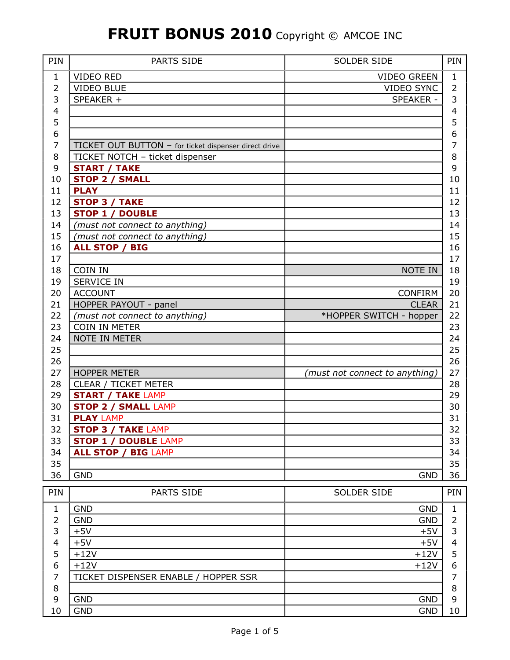| PIN            | PARTS SIDE                                            | <b>SOLDER SIDE</b>             | PIN            |
|----------------|-------------------------------------------------------|--------------------------------|----------------|
| 1              | <b>VIDEO RED</b>                                      | <b>VIDEO GREEN</b>             | $\mathbf 1$    |
| 2              | <b>VIDEO BLUE</b>                                     | <b>VIDEO SYNC</b>              | $\overline{2}$ |
| 3              | SPEAKER +                                             | SPEAKER -                      | 3              |
| 4              |                                                       |                                | 4              |
| 5              |                                                       |                                | 5              |
| 6              |                                                       |                                | 6              |
| 7              | TICKET OUT BUTTON - for ticket dispenser direct drive |                                | 7              |
| 8              | TICKET NOTCH - ticket dispenser                       |                                | 8              |
| 9              | <b>START / TAKE</b>                                   |                                | 9              |
| 10             | <b>STOP 2 / SMALL</b>                                 |                                | 10             |
| 11             | <b>PLAY</b>                                           |                                | 11             |
| 12             | <b>STOP 3 / TAKE</b>                                  |                                | 12             |
| 13             | <b>STOP 1 / DOUBLE</b>                                |                                | 13             |
| 14             | (must not connect to anything)                        |                                | 14             |
| 15             | (must not connect to anything)                        |                                | 15             |
| 16             | <b>ALL STOP / BIG</b>                                 |                                | 16             |
| 17             |                                                       |                                | 17             |
| 18             | COIN IN                                               | NOTE IN                        | 18             |
| 19             | <b>SERVICE IN</b>                                     |                                | 19             |
| 20             | <b>ACCOUNT</b>                                        | <b>CONFIRM</b>                 | 20             |
| 21             | HOPPER PAYOUT - panel                                 | <b>CLEAR</b>                   | 21             |
| 22             | (must not connect to anything)                        | *HOPPER SWITCH - hopper        | 22             |
| 23             | COIN IN METER                                         |                                | 23             |
| 24             | NOTE IN METER                                         |                                | 24             |
| 25             |                                                       |                                | 25             |
| 26             |                                                       |                                | 26             |
| 27             | <b>HOPPER METER</b>                                   | (must not connect to anything) | 27             |
| 28             | CLEAR / TICKET METER                                  |                                | 28             |
| 29             | <b>START / TAKE LAMP</b>                              |                                | 29             |
| 30             | <b>STOP 2 / SMALL LAMP</b>                            |                                | 30             |
| 31             | <b>PLAY LAMP</b>                                      |                                | 31             |
| 32             | <b>STOP 3 / TAKE LAMP</b>                             |                                | 32             |
| 33             | <b>STOP 1 / DOUBLE LAMP</b>                           |                                | 33             |
| 34             | <b>ALL STOP / BIG LAMP</b>                            |                                | 34             |
| 35             |                                                       |                                | 35             |
| 36             | <b>GND</b>                                            | <b>GND</b>                     | 36             |
|                |                                                       |                                |                |
| PIN            | PARTS SIDE                                            | SOLDER SIDE                    | PIN            |
| $\mathbf{1}$   | <b>GND</b>                                            | <b>GND</b>                     | 1              |
| $\overline{2}$ | <b>GND</b>                                            | <b>GND</b>                     | $\overline{2}$ |
| 3              | $+5V$                                                 | $+5V$                          | 3              |
| $\overline{4}$ | $+5V$                                                 | $+5V$                          | $\overline{4}$ |
| 5              | $+12V$                                                | $+12V$                         | 5              |
| 6              | $+12V$                                                | $+12V$                         | 6              |
| 7              | TICKET DISPENSER ENABLE / HOPPER SSR                  |                                | 7              |
| $\,8\,$        |                                                       |                                | 8              |
| 9              | <b>GND</b>                                            | <b>GND</b>                     | 9              |
| 10             | <b>GND</b>                                            | <b>GND</b>                     | 10             |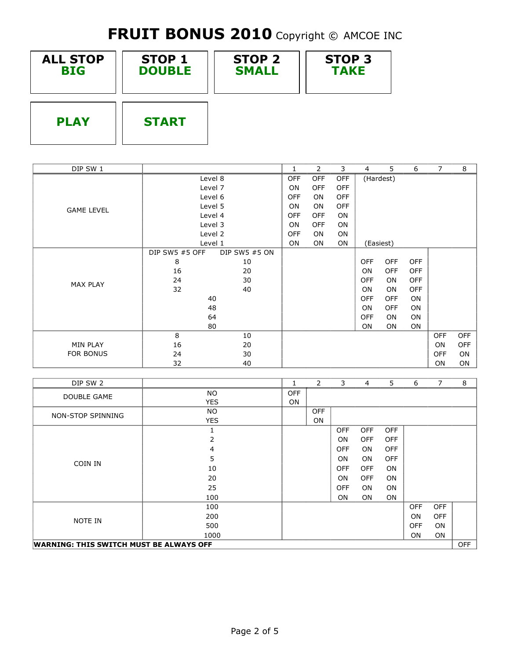| <b>ALL STOP</b> | <b>STOP 1</b> | <b>STOP 2</b> | <b>STOP 3</b> |
|-----------------|---------------|---------------|---------------|
| <b>BIG</b>      | <b>DOUBLE</b> | <b>SMALL</b>  | <b>TAKE</b>   |
| <b>PLAY</b>     | <b>START</b>  |               |               |

| DIP SW 1          |                |               |            | 2          | 3          | $\overline{4}$ | 5.         | 6          | 7          | 8          |
|-------------------|----------------|---------------|------------|------------|------------|----------------|------------|------------|------------|------------|
|                   | Level 8        |               | <b>OFF</b> | <b>OFF</b> | OFF        | (Hardest)      |            |            |            |            |
|                   |                | Level 7       | ON         | <b>OFF</b> | <b>OFF</b> |                |            |            |            |            |
|                   |                | Level 6       | <b>OFF</b> | <b>ON</b>  | <b>OFF</b> |                |            |            |            |            |
| <b>GAME LEVEL</b> |                | Level 5       | <b>ON</b>  | <b>ON</b>  | <b>OFF</b> |                |            |            |            |            |
|                   |                | Level 4       | <b>OFF</b> | <b>OFF</b> | ON         |                |            |            |            |            |
|                   |                | Level 3       | ON         | <b>OFF</b> | ON         |                |            |            |            |            |
|                   |                | Level 2       | <b>OFF</b> | <b>ON</b>  | ON         |                |            |            |            |            |
|                   | Level 1        |               | <b>ON</b>  | <b>ON</b>  | <b>ON</b>  | (Easiest)      |            |            |            |            |
|                   | DIP SW5 #5 OFF | DIP SW5 #5 ON |            |            |            |                |            |            |            |            |
|                   | 8              | 10            |            |            |            | <b>OFF</b>     | <b>OFF</b> | <b>OFF</b> |            |            |
|                   | 16             | 20            |            |            |            | <b>ON</b>      | <b>OFF</b> | <b>OFF</b> |            |            |
| <b>MAX PLAY</b>   | 24             | 30            |            |            |            | <b>OFF</b>     | <b>ON</b>  | <b>OFF</b> |            |            |
|                   | 32             | 40            |            |            |            | <b>ON</b>      | <b>ON</b>  | <b>OFF</b> |            |            |
|                   | 40             |               |            |            |            | <b>OFF</b>     | <b>OFF</b> | ON         |            |            |
|                   | 48             |               |            |            |            | <b>ON</b>      | <b>OFF</b> | <b>ON</b>  |            |            |
|                   |                | 64            |            |            |            | <b>OFF</b>     | <b>ON</b>  | <b>ON</b>  |            |            |
|                   |                | 80            |            |            |            | ON             | ON         | ON         |            |            |
|                   | 8              | 10            |            |            |            |                |            |            | <b>OFF</b> | <b>OFF</b> |
| MIN PLAY          | 16             | 20            |            |            |            |                |            |            | ON.        | <b>OFF</b> |
| <b>FOR BONUS</b>  | 24             | 30            |            |            |            |                |            |            | <b>OFF</b> | <b>ON</b>  |
|                   | 32             | 40            |            |            |            |                |            |            | <b>ON</b>  | ON         |

| DIP SW 2                                              |            | 1          | $\overline{2}$ | 3          | $\overline{4}$ | 5          | 6          | 7          | 8 |
|-------------------------------------------------------|------------|------------|----------------|------------|----------------|------------|------------|------------|---|
| DOUBLE GAME                                           | <b>NO</b>  | <b>OFF</b> |                |            |                |            |            |            |   |
|                                                       | <b>YES</b> | ON         |                |            |                |            |            |            |   |
| NON-STOP SPINNING                                     | NO.        |            | <b>OFF</b>     |            |                |            |            |            |   |
|                                                       | <b>YES</b> |            | ON             |            |                |            |            |            |   |
|                                                       |            |            |                | <b>OFF</b> | <b>OFF</b>     | <b>OFF</b> |            |            |   |
|                                                       | 2          |            |                | <b>ON</b>  | <b>OFF</b>     | <b>OFF</b> |            |            |   |
|                                                       | 4          |            |                | <b>OFF</b> | <b>ON</b>      | <b>OFF</b> |            |            |   |
|                                                       | 5          |            |                | ON.        | ON             | <b>OFF</b> |            |            |   |
| COIN IN                                               | 10         |            |                | <b>OFF</b> | <b>OFF</b>     | ON         |            |            |   |
|                                                       | 20         |            |                | <b>ON</b>  | <b>OFF</b>     | <b>ON</b>  |            |            |   |
|                                                       | 25         |            |                | <b>OFF</b> | <b>ON</b>      | ON         |            |            |   |
|                                                       | 100        |            |                | ON         | ON             | ON         |            |            |   |
|                                                       | 100        |            |                |            |                |            | <b>OFF</b> | <b>OFF</b> |   |
| NOTE IN                                               | 200        |            |                |            |                |            | <b>ON</b>  | <b>OFF</b> |   |
|                                                       | 500        |            |                |            |                |            | <b>OFF</b> | ON.        |   |
|                                                       | 1000       |            |                |            |                |            | ON         | ON         |   |
| <b>WARNING: THIS SWITCH MUST BE ALWAYS OFF</b><br>OFF |            |            |                |            |                |            |            |            |   |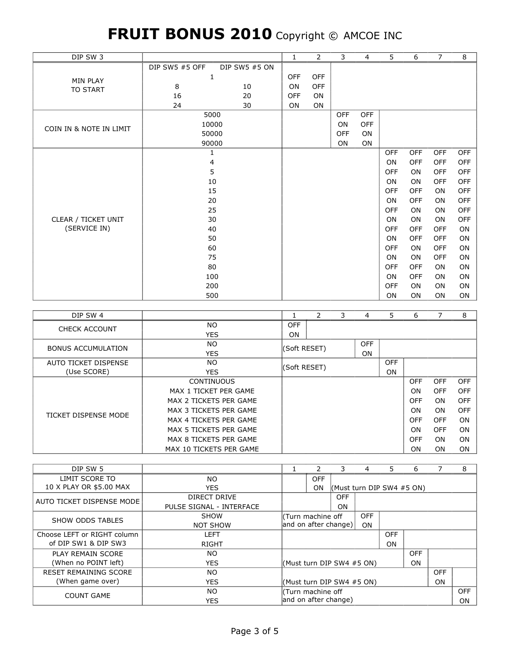| DIP SW 3                |                       |               | $\mathbf{1}$ | 2          | 3          | 4          | 5          | 6          | $\overline{7}$ | 8          |
|-------------------------|-----------------------|---------------|--------------|------------|------------|------------|------------|------------|----------------|------------|
|                         | <b>DIP SW5 #5 OFF</b> | DIP SW5 #5 ON |              |            |            |            |            |            |                |            |
| <b>MIN PLAY</b>         | 1                     |               | <b>OFF</b>   | <b>OFF</b> |            |            |            |            |                |            |
| <b>TO START</b>         | 8                     | 10            | <b>ON</b>    | <b>OFF</b> |            |            |            |            |                |            |
|                         | 16                    | 20            | <b>OFF</b>   | <b>ON</b>  |            |            |            |            |                |            |
|                         | 24                    | 30            | ON           | ON         |            |            |            |            |                |            |
|                         |                       | 5000          |              |            | OFF        | <b>OFF</b> |            |            |                |            |
| COIN IN & NOTE IN LIMIT | 10000                 |               |              |            | <b>ON</b>  | <b>OFF</b> |            |            |                |            |
|                         | 50000                 |               |              |            | <b>OFF</b> | ON         |            |            |                |            |
|                         | 90000                 |               |              |            | <b>ON</b>  | ON         |            |            |                |            |
|                         | 1                     |               |              |            |            |            | <b>OFF</b> | <b>OFF</b> | <b>OFF</b>     | <b>OFF</b> |
|                         | 4                     |               |              |            |            |            | ON         | <b>OFF</b> | <b>OFF</b>     | <b>OFF</b> |
|                         | 5                     |               |              |            |            |            | <b>OFF</b> | ON         | <b>OFF</b>     | OFF        |
|                         | 10                    |               |              |            |            |            | ON         | <b>ON</b>  | <b>OFF</b>     | <b>OFF</b> |
|                         | 15                    |               |              |            |            |            | <b>OFF</b> | <b>OFF</b> | <b>ON</b>      | <b>OFF</b> |
|                         |                       | 20            |              |            |            |            | ON         | <b>OFF</b> | <b>ON</b>      | <b>OFF</b> |
|                         | 25                    |               |              |            |            |            | <b>OFF</b> | ON         | ON             | OFF        |
| CLEAR / TICKET UNIT     |                       | 30            |              |            |            |            | ON         | <b>ON</b>  | ON             | <b>OFF</b> |
| (SERVICE IN)            | 40                    |               |              |            |            |            | <b>OFF</b> | <b>OFF</b> | <b>OFF</b>     | ON         |
|                         | 50                    |               |              |            |            |            | ON         | <b>OFF</b> | <b>OFF</b>     | ON         |
|                         | 60                    |               |              |            |            |            | <b>OFF</b> | ON         | <b>OFF</b>     | <b>ON</b>  |
|                         | 75                    |               |              |            |            |            | ON         | ON         | <b>OFF</b>     | ON         |
|                         | 80                    |               |              |            |            |            | <b>OFF</b> | <b>OFF</b> | <b>ON</b>      | ON         |
|                         | 100                   |               |              |            |            |            | <b>ON</b>  | <b>OFF</b> | <b>ON</b>      | ON         |
|                         | 200                   |               |              |            |            |            | <b>OFF</b> | <b>ON</b>  | <b>ON</b>      | ON         |
|                         | 500                   |               |              |            |            |            | ON         | ON         | ON             | ON         |

| DIP SW 4                  |                         |            | 2                         | 3 | 4   | 5.         | 6          |            | 8          |
|---------------------------|-------------------------|------------|---------------------------|---|-----|------------|------------|------------|------------|
| <b>CHECK ACCOUNT</b>      | NO.                     | <b>OFF</b> |                           |   |     |            |            |            |            |
|                           | <b>YES</b>              | ON         |                           |   |     |            |            |            |            |
| <b>BONUS ACCUMULATION</b> | NO.                     |            |                           |   | OFF |            |            |            |            |
|                           | <b>YES</b>              |            | (Soft RESET)<br><b>ON</b> |   |     |            |            |            |            |
| AUTO TICKET DISPENSE      | NO.                     |            | (Soft RESET)              |   |     | <b>OFF</b> |            |            |            |
| (Use SCORE)               | <b>YES</b>              |            |                           |   |     | ON         |            |            |            |
|                           | <b>CONTINUOUS</b>       |            |                           |   |     |            | <b>OFF</b> | <b>OFF</b> | <b>OFF</b> |
|                           | MAX 1 TICKET PER GAME   |            |                           |   |     |            | ON         | <b>OFF</b> | <b>OFF</b> |
|                           | MAX 2 TICKETS PER GAME  |            |                           |   |     |            | <b>OFF</b> | <b>ON</b>  | <b>OFF</b> |
| TICKET DISPENSE MODE      | MAX 3 TICKETS PER GAME  |            |                           |   |     |            | ON         | <b>ON</b>  | <b>OFF</b> |
|                           | MAX 4 TICKETS PER GAME  |            |                           |   |     |            | <b>OFF</b> | <b>OFF</b> | ON         |
|                           | MAX 5 TICKETS PER GAME  |            |                           |   | ON  | <b>OFF</b> | ON         |            |            |
|                           | MAX 8 TICKETS PER GAME  |            |                           |   |     |            | <b>OFF</b> | <b>ON</b>  | ON         |
|                           | MAX 10 TICKETS PER GAME |            |                           |   |     |            | ON         | <b>ON</b>  | <b>ON</b>  |

| DIP SW 5                       |                          |                                   |                           | 3                           | 4          | .5.        | 6              |            | 8 |
|--------------------------------|--------------------------|-----------------------------------|---------------------------|-----------------------------|------------|------------|----------------|------------|---|
| LIMIT SCORE TO                 | NO.                      |                                   | <b>OFF</b>                |                             |            |            |                |            |   |
| 10 X PLAY OR \$5.00 MAX        | <b>YES</b>               |                                   | <b>ON</b>                 | (Must turn DIP SW4 $#5$ ON) |            |            |                |            |   |
| AUTO TICKET DISPENSE MODE      | DIRECT DRIVE             |                                   |                           | OFF                         |            |            |                |            |   |
|                                | PULSE SIGNAL - INTERFACE |                                   | ON                        |                             |            |            |                |            |   |
| SHOW ODDS TABLES               | <b>SHOW</b>              |                                   | OFF<br>l(Turn machine off |                             |            |            |                |            |   |
|                                | <b>NOT SHOW</b>          | and on after change)<br><b>ON</b> |                           |                             |            |            |                |            |   |
| Choose LEFT or RIGHT column    | <b>LEFT</b>              |                                   |                           |                             |            | <b>OFF</b> |                |            |   |
| of DIP SW1 & DIP SW3           | <b>RIGHT</b>             |                                   |                           |                             |            | ON         |                |            |   |
| PLAY REMAIN SCORE              | NO.                      |                                   |                           |                             |            |            | <b>OFF</b>     |            |   |
| (When no POINT left)           | <b>YES</b>               |                                   |                           | (Must turn DIP SW4 #5 ON)   |            |            | <b>ON</b>      |            |   |
| <b>RESET REMAINING SCORE</b>   | NO.                      |                                   |                           |                             | <b>OFF</b> |            |                |            |   |
| (When game over)<br><b>YES</b> |                          |                                   | (Must turn DIP SW4 #5 ON) |                             |            |            | 0 <sub>N</sub> |            |   |
| <b>COUNT GAME</b>              | NO.                      | l(Turn machine off                |                           |                             |            |            |                | <b>OFF</b> |   |
|                                | <b>YES</b>               | and on after change)              |                           |                             |            | <b>ON</b>  |                |            |   |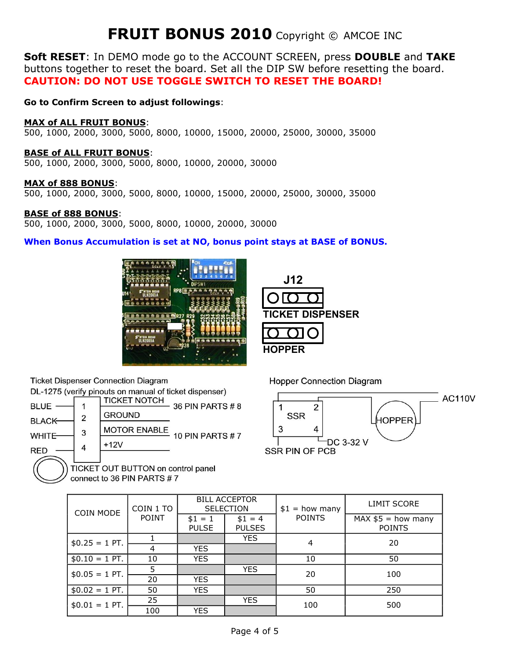**Soft RESET**: In DEMO mode go to the ACCOUNT SCREEN, press **DOUBLE** and **TAKE**  buttons together to reset the board. Set all the DIP SW before resetting the board. **CAUTION: DO NOT USE TOGGLE SWITCH TO RESET THE BOARD!** 

**Go to Confirm Screen to adjust followings**:

#### **MAX of ALL FRUIT BONUS**:

500, 1000, 2000, 3000, 5000, 8000, 10000, 15000, 20000, 25000, 30000, 35000

#### **BASE of ALL FRUIT BONUS**:

500, 1000, 2000, 3000, 5000, 8000, 10000, 20000, 30000

#### **MAX of 888 BONUS**:

500, 1000, 2000, 3000, 5000, 8000, 10000, 15000, 20000, 25000, 30000, 35000

#### **BASE of 888 BONUS**:

500, 1000, 2000, 3000, 5000, 8000, 10000, 20000, 30000

#### **When Bonus Accumulation is set at NO, bonus point stays at BASE of BONUS.**







connect to 36 PIN PARTS #7

**Hopper Connection Diagram** 

**J12** 

**HOPPER** 

**TICKET DISPENSER** 



| <b>COIN MODE</b> | COIN 1 TO                                                                              |            | <b>BILL ACCEPTOR</b><br><b>SELECTION</b> | $$1 = how many$ | <b>LIMIT SCORE</b> |
|------------------|----------------------------------------------------------------------------------------|------------|------------------------------------------|-----------------|--------------------|
|                  | <b>POINT</b><br><b>POINTS</b><br>$$1 = 4$<br>$$1 = 1$<br><b>PULSES</b><br><b>PULSE</b> |            | $MAX $5 = how many$<br><b>POINTS</b>     |                 |                    |
| $$0.25 = 1$ PT.  |                                                                                        |            | <b>YES</b>                               | 4               | 20                 |
|                  | 4                                                                                      | <b>YES</b> |                                          |                 |                    |
| $$0.10 = 1$ PT.  | 10                                                                                     | <b>YES</b> |                                          | 10              | 50                 |
| $$0.05 = 1$ PT.  | 5                                                                                      |            | <b>YES</b>                               | 20              | 100                |
|                  | 20                                                                                     | <b>YES</b> |                                          |                 |                    |
| $$0.02 = 1$ PT.  | 50                                                                                     | <b>YES</b> |                                          | 50              | 250                |
| $$0.01 = 1$ PT.  | 25                                                                                     |            | <b>YES</b>                               | 100             | 500                |
|                  | 100                                                                                    | <b>YES</b> |                                          |                 |                    |